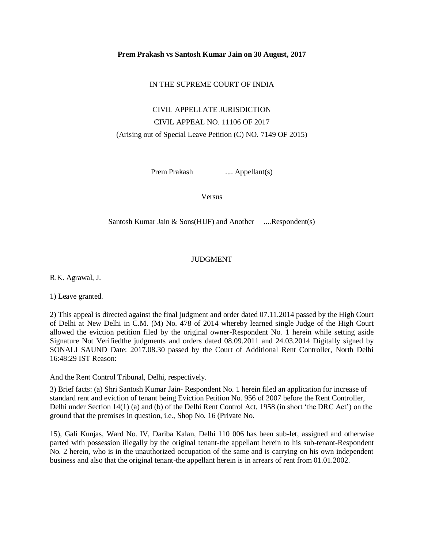#### **Prem Prakash vs Santosh Kumar Jain on 30 August, 2017**

## IN THE SUPREME COURT OF INDIA

# CIVIL APPELLATE JURISDICTION CIVIL APPEAL NO. 11106 OF 2017 (Arising out of Special Leave Petition (C) NO. 7149 OF 2015)

Prem Prakash ..... Appellant(s)

Versus

Santosh Kumar Jain & Sons(HUF) and Another ....Respondent(s)

## JUDGMENT

R.K. Agrawal, J.

1) Leave granted.

2) This appeal is directed against the final judgment and order dated 07.11.2014 passed by the High Court of Delhi at New Delhi in C.M. (M) No. 478 of 2014 whereby learned single Judge of the High Court allowed the eviction petition filed by the original owner-Respondent No. 1 herein while setting aside Signature Not Verifiedthe judgments and orders dated 08.09.2011 and 24.03.2014 Digitally signed by SONALI SAUND Date: 2017.08.30 passed by the Court of Additional Rent Controller, North Delhi 16:48:29 IST Reason:

And the Rent Control Tribunal, Delhi, respectively.

3) Brief facts: (a) Shri Santosh Kumar Jain- Respondent No. 1 herein filed an application for increase of standard rent and eviction of tenant being Eviction Petition No. 956 of 2007 before the Rent Controller, Delhi under Section 14(1) (a) and (b) of the Delhi Rent Control Act, 1958 (in short 'the DRC Act') on the ground that the premises in question, i.e., Shop No. 16 (Private No.

15), Gali Kunjas, Ward No. IV, Dariba Kalan, Delhi 110 006 has been sub-let, assigned and otherwise parted with possession illegally by the original tenant-the appellant herein to his sub-tenant-Respondent No. 2 herein, who is in the unauthorized occupation of the same and is carrying on his own independent business and also that the original tenant-the appellant herein is in arrears of rent from 01.01.2002.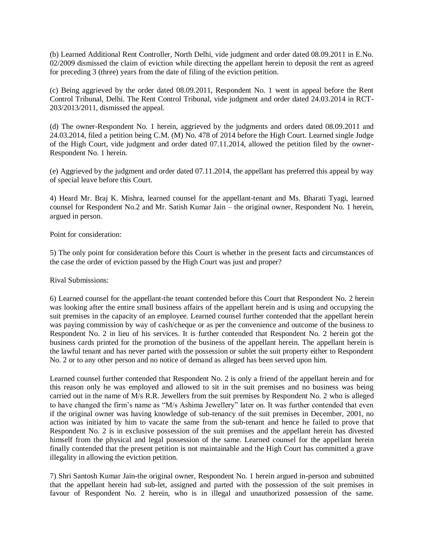(b) Learned Additional Rent Controller, North Delhi, vide judgment and order dated 08.09.2011 in E.No. 02/2009 dismissed the claim of eviction while directing the appellant herein to deposit the rent as agreed for preceding 3 (three) years from the date of filing of the eviction petition.

(c) Being aggrieved by the order dated 08.09.2011, Respondent No. 1 went in appeal before the Rent Control Tribunal, Delhi. The Rent Control Tribunal, vide judgment and order dated 24.03.2014 in RCT-203/2013/2011, dismissed the appeal.

(d) The owner-Respondent No. 1 herein, aggrieved by the judgments and orders dated 08.09.2011 and 24.03.2014, filed a petition being C.M. (M) No. 478 of 2014 before the High Court. Learned single Judge of the High Court, vide judgment and order dated 07.11.2014, allowed the petition filed by the owner-Respondent No. 1 herein.

(e) Aggrieved by the judgment and order dated 07.11.2014, the appellant has preferred this appeal by way of special leave before this Court.

4) Heard Mr. Braj K. Mishra, learned counsel for the appellant-tenant and Ms. Bharati Tyagi, learned counsel for Respondent No.2 and Mr. Satish Kumar Jain – the original owner, Respondent No. 1 herein, argued in person.

Point for consideration:

5) The only point for consideration before this Court is whether in the present facts and circumstances of the case the order of eviction passed by the High Court was just and proper?

Rival Submissions:

6) Learned counsel for the appellant-the tenant contended before this Court that Respondent No. 2 herein was looking after the entire small business affairs of the appellant herein and is using and occupying the suit premises in the capacity of an employee. Learned counsel further contended that the appellant herein was paying commission by way of cash/cheque or as per the convenience and outcome of the business to Respondent No. 2 in lieu of his services. It is further contended that Respondent No. 2 herein got the business cards printed for the promotion of the business of the appellant herein. The appellant herein is the lawful tenant and has never parted with the possession or sublet the suit property either to Respondent No. 2 or to any other person and no notice of demand as alleged has been served upon him.

Learned counsel further contended that Respondent No. 2 is only a friend of the appellant herein and for this reason only he was employed and allowed to sit in the suit premises and no business was being carried out in the name of M/s R.R. Jewellers from the suit premises by Respondent No. 2 who is alleged to have changed the firm's name as "M/s Ashima Jewellery" later on. It was further contended that even if the original owner was having knowledge of sub-tenancy of the suit premises in December, 2001, no action was initiated by him to vacate the same from the sub-tenant and hence he failed to prove that Respondent No. 2 is in exclusive possession of the suit premises and the appellant herein has divested himself from the physical and legal possession of the same. Learned counsel for the appellant herein finally contended that the present petition is not maintainable and the High Court has committed a grave illegality in allowing the eviction petition.

7) Shri Santosh Kumar Jain-the original owner, Respondent No. 1 herein argued in-person and submitted that the appellant herein had sub-let, assigned and parted with the possession of the suit premises in favour of Respondent No. 2 herein, who is in illegal and unauthorized possession of the same.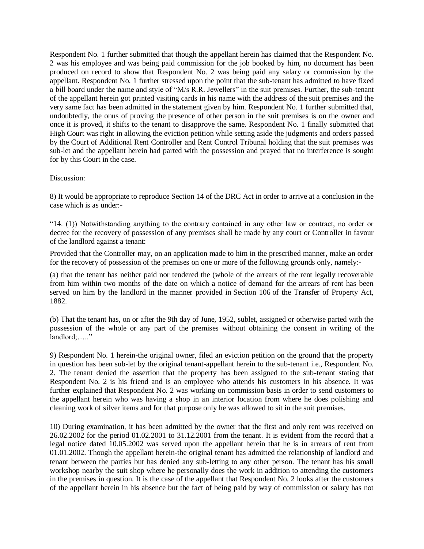Respondent No. 1 further submitted that though the appellant herein has claimed that the Respondent No. 2 was his employee and was being paid commission for the job booked by him, no document has been produced on record to show that Respondent No. 2 was being paid any salary or commission by the appellant. Respondent No. 1 further stressed upon the point that the sub-tenant has admitted to have fixed a bill board under the name and style of "M/s R.R. Jewellers" in the suit premises. Further, the sub-tenant of the appellant herein got printed visiting cards in his name with the address of the suit premises and the very same fact has been admitted in the statement given by him. Respondent No. 1 further submitted that, undoubtedly, the onus of proving the presence of other person in the suit premises is on the owner and once it is proved, it shifts to the tenant to disapprove the same. Respondent No. 1 finally submitted that High Court was right in allowing the eviction petition while setting aside the judgments and orders passed by the Court of Additional Rent Controller and Rent Control Tribunal holding that the suit premises was sub-let and the appellant herein had parted with the possession and prayed that no interference is sought for by this Court in the case.

### Discussion:

8) It would be appropriate to reproduce Section 14 of the DRC Act in order to arrive at a conclusion in the case which is as under:-

"14. (1)) Notwithstanding anything to the contrary contained in any other law or contract, no order or decree for the recovery of possession of any premises shall be made by any court or Controller in favour of the landlord against a tenant:

Provided that the Controller may, on an application made to him in the prescribed manner, make an order for the recovery of possession of the premises on one or more of the following grounds only, namely:-

(a) that the tenant has neither paid nor tendered the (whole of the arrears of the rent legally recoverable from him within two months of the date on which a notice of demand for the arrears of rent has been served on him by the landlord in the manner provided in Section 106 of the Transfer of Property Act, 1882.

(b) That the tenant has, on or after the 9th day of June, 1952, sublet, assigned or otherwise parted with the possession of the whole or any part of the premises without obtaining the consent in writing of the  $landlord$ :....."

9) Respondent No. 1 herein-the original owner, filed an eviction petition on the ground that the property in question has been sub-let by the original tenant-appellant herein to the sub-tenant i.e., Respondent No. 2. The tenant denied the assertion that the property has been assigned to the sub-tenant stating that Respondent No. 2 is his friend and is an employee who attends his customers in his absence. It was further explained that Respondent No. 2 was working on commission basis in order to send customers to the appellant herein who was having a shop in an interior location from where he does polishing and cleaning work of silver items and for that purpose only he was allowed to sit in the suit premises.

10) During examination, it has been admitted by the owner that the first and only rent was received on 26.02.2002 for the period 01.02.2001 to 31.12.2001 from the tenant. It is evident from the record that a legal notice dated 10.05.2002 was served upon the appellant herein that he is in arrears of rent from 01.01.2002. Though the appellant herein-the original tenant has admitted the relationship of landlord and tenant between the parties but has denied any sub-letting to any other person. The tenant has his small workshop nearby the suit shop where he personally does the work in addition to attending the customers in the premises in question. It is the case of the appellant that Respondent No. 2 looks after the customers of the appellant herein in his absence but the fact of being paid by way of commission or salary has not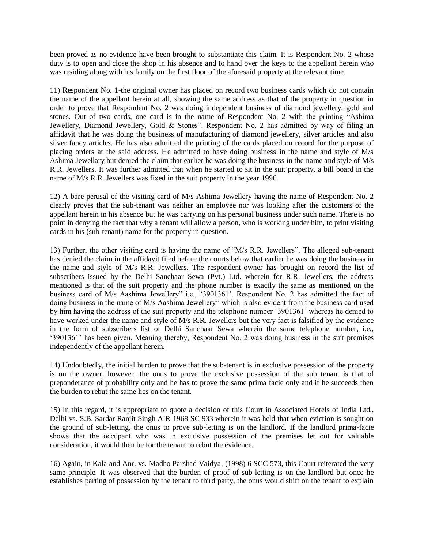been proved as no evidence have been brought to substantiate this claim. It is Respondent No. 2 whose duty is to open and close the shop in his absence and to hand over the keys to the appellant herein who was residing along with his family on the first floor of the aforesaid property at the relevant time.

11) Respondent No. 1-the original owner has placed on record two business cards which do not contain the name of the appellant herein at all, showing the same address as that of the property in question in order to prove that Respondent No. 2 was doing independent business of diamond jewellery, gold and stones. Out of two cards, one card is in the name of Respondent No. 2 with the printing "Ashima Jewellery, Diamond Jewellery, Gold & Stones". Respondent No. 2 has admitted by way of filing an affidavit that he was doing the business of manufacturing of diamond jewellery, silver articles and also silver fancy articles. He has also admitted the printing of the cards placed on record for the purpose of placing orders at the said address. He admitted to have doing business in the name and style of M/s Ashima Jewellary but denied the claim that earlier he was doing the business in the name and style of M/s R.R. Jewellers. It was further admitted that when he started to sit in the suit property, a bill board in the name of M/s R.R. Jewellers was fixed in the suit property in the year 1996.

12) A bare perusal of the visiting card of M/s Ashima Jewellery having the name of Respondent No. 2 clearly proves that the sub-tenant was neither an employee nor was looking after the customers of the appellant herein in his absence but he was carrying on his personal business under such name. There is no point in denying the fact that why a tenant will allow a person, who is working under him, to print visiting cards in his (sub-tenant) name for the property in question.

13) Further, the other visiting card is having the name of "M/s R.R. Jewellers". The alleged sub-tenant has denied the claim in the affidavit filed before the courts below that earlier he was doing the business in the name and style of M/s R.R. Jewellers. The respondent-owner has brought on record the list of subscribers issued by the Delhi Sanchaar Sewa (Pvt.) Ltd. wherein for R.R. Jewellers, the address mentioned is that of the suit property and the phone number is exactly the same as mentioned on the business card of M/s Aashima Jewellery" i.e., '3901361'. Respondent No. 2 has admitted the fact of doing business in the name of M/s Aashima Jewellery" which is also evident from the business card used by him having the address of the suit property and the telephone number '3901361' whereas he denied to have worked under the name and style of M/s R.R. Jewellers but the very fact is falsified by the evidence in the form of subscribers list of Delhi Sanchaar Sewa wherein the same telephone number, i.e., '3901361' has been given. Meaning thereby, Respondent No. 2 was doing business in the suit premises independently of the appellant herein.

14) Undoubtedly, the initial burden to prove that the sub-tenant is in exclusive possession of the property is on the owner, however, the onus to prove the exclusive possession of the sub tenant is that of preponderance of probability only and he has to prove the same prima facie only and if he succeeds then the burden to rebut the same lies on the tenant.

15) In this regard, it is appropriate to quote a decision of this Court in Associated Hotels of India Ltd., Delhi vs. S.B. Sardar Ranjit Singh AIR 1968 SC 933 wherein it was held that when eviction is sought on the ground of sub-letting, the onus to prove sub-letting is on the landlord. If the landlord prima-facie shows that the occupant who was in exclusive possession of the premises let out for valuable consideration, it would then be for the tenant to rebut the evidence.

16) Again, in Kala and Anr. vs. Madho Parshad Vaidya, (1998) 6 SCC 573, this Court reiterated the very same principle. It was observed that the burden of proof of sub-letting is on the landlord but once he establishes parting of possession by the tenant to third party, the onus would shift on the tenant to explain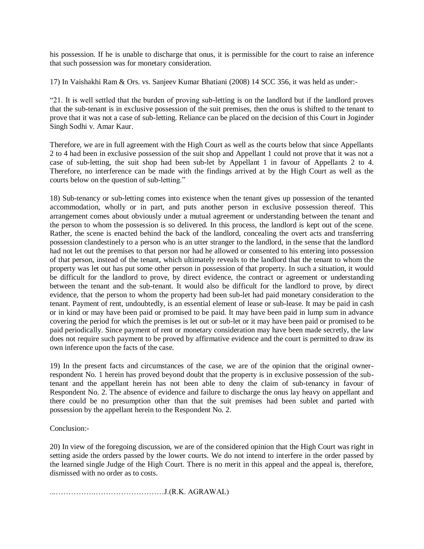his possession. If he is unable to discharge that onus, it is permissible for the court to raise an inference that such possession was for monetary consideration.

17) In Vaishakhi Ram & Ors. vs. Sanjeev Kumar Bhatiani (2008) 14 SCC 356, it was held as under:-

"21. It is well settled that the burden of proving sub-letting is on the landlord but if the landlord proves that the sub-tenant is in exclusive possession of the suit premises, then the onus is shifted to the tenant to prove that it was not a case of sub-letting. Reliance can be placed on the decision of this Court in Joginder Singh Sodhi v. Amar Kaur.

Therefore, we are in full agreement with the High Court as well as the courts below that since Appellants 2 to 4 had been in exclusive possession of the suit shop and Appellant 1 could not prove that it was not a case of sub-letting, the suit shop had been sub-let by Appellant 1 in favour of Appellants 2 to 4. Therefore, no interference can be made with the findings arrived at by the High Court as well as the courts below on the question of sub-letting."

18) Sub-tenancy or sub-letting comes into existence when the tenant gives up possession of the tenanted accommodation, wholly or in part, and puts another person in exclusive possession thereof. This arrangement comes about obviously under a mutual agreement or understanding between the tenant and the person to whom the possession is so delivered. In this process, the landlord is kept out of the scene. Rather, the scene is enacted behind the back of the landlord, concealing the overt acts and transferring possession clandestinely to a person who is an utter stranger to the landlord, in the sense that the landlord had not let out the premises to that person nor had he allowed or consented to his entering into possession of that person, instead of the tenant, which ultimately reveals to the landlord that the tenant to whom the property was let out has put some other person in possession of that property. In such a situation, it would be difficult for the landlord to prove, by direct evidence, the contract or agreement or understanding between the tenant and the sub-tenant. It would also be difficult for the landlord to prove, by direct evidence, that the person to whom the property had been sub-let had paid monetary consideration to the tenant. Payment of rent, undoubtedly, is an essential element of lease or sub-lease. It may be paid in cash or in kind or may have been paid or promised to be paid. It may have been paid in lump sum in advance covering the period for which the premises is let out or sub-let or it may have been paid or promised to be paid periodically. Since payment of rent or monetary consideration may have been made secretly, the law does not require such payment to be proved by affirmative evidence and the court is permitted to draw its own inference upon the facts of the case.

19) In the present facts and circumstances of the case, we are of the opinion that the original ownerrespondent No. 1 herein has proved beyond doubt that the property is in exclusive possession of the subtenant and the appellant herein has not been able to deny the claim of sub-tenancy in favour of Respondent No. 2. The absence of evidence and failure to discharge the onus lay heavy on appellant and there could be no presumption other than that the suit premises had been sublet and parted with possession by the appellant herein to the Respondent No. 2.

Conclusion:-

20) In view of the foregoing discussion, we are of the considered opinion that the High Court was right in setting aside the orders passed by the lower courts. We do not intend to interfere in the order passed by the learned single Judge of the High Court. There is no merit in this appeal and the appeal is, therefore, dismissed with no order as to costs.

...…………….………………………J.(R.K. AGRAWAL)